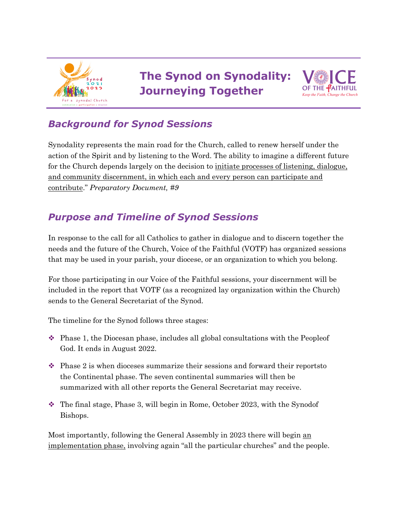

# **The Synod on Synodality: Journeying Together**



## *Background for Synod Sessions*

Synodality represents the main road for the Church, called to renew herself under the action of the Spirit and by listening to the Word. The ability to imagine a different future for the Church depends largely on the decision to initiate processes of listening, dialogue, and community discernment, in which each and every person can participate and contribute." *Preparatory Document, #9*

## *Purpose and Timeline of Synod Sessions*

In response to the call for all Catholics to gather in dialogue and to discern together the needs and the future of the Church, Voice of the Faithful (VOTF) has organized sessions that may be used in your parish, your diocese, or an organization to which you belong.

For those participating in our Voice of the Faithful sessions, your discernment will be included in the report that VOTF (as a recognized lay organization within the Church) sends to the General Secretariat of the Synod.

The timeline for the Synod follows three stages:

- $\bullet$  Phase 1, the Diocesan phase, includes all global consultations with the Peopleof God. It ends in August 2022.
- $\cdot$  Phase 2 is when dioceses summarize their sessions and forward their reports to the Continental phase. The seven continental summaries will then be summarized with all other reports the General Secretariat may receive.
- $\cdot$  The final stage, Phase 3, will begin in Rome, October 2023, with the Synodof Bishops.

Most importantly, following the General Assembly in 2023 there will begin an implementation phase, involving again "all the particular churches" and the people.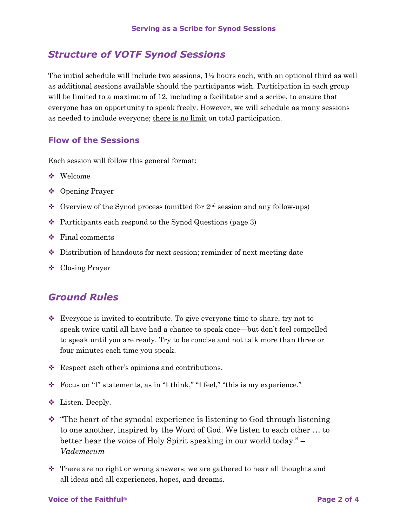#### *Structure of VOTF Synod Sessions*

The initial schedule will include two sessions,  $1\frac{1}{2}$  hours each, with an optional third as well as additional sessions available should the participants wish. Participation in each group will be limited to a maximum of 12, including a facilitator and a scribe, to ensure that everyone has an opportunity to speak freely. However, we will schedule as many sessions as needed to include everyone; there is no limit on total participation.

#### **Flow of the Sessions**

Each session will follow this general format:

- $\bullet$  Welcome
- ❖ Opening Prayer
- $\bullet$  Overview of the Synod process (omitted for  $2<sup>nd</sup>$  session and any follow-ups)
- $\cdot$  Participants each respond to the Synod Questions (page 3)
- $\div$  Final comments
- $\bullet$  Distribution of handouts for next session; reminder of next meeting date
- $\triangleleft$  Closing Prayer

#### *Ground Rules*

- $\mathbf{\hat{z}}$  Everyone is invited to contribute. To give everyone time to share, try not to speak twice until all have had a chance to speak once—but don't feel compelled to speak until you are ready. Try to be concise and not talk more than three or four minutes each time you speak.
- $\triangleleft$  Respect each other's opinions and contributions.
- v Focus on "I" statements, as in "I think," "I feel," "this is my experience."
- **V** Listen. Deeply.
- $\cdot$  "The heart of the synodal experience is listening to God through listening to one another, inspired by the Word of God. We listen to each other … to better hear the voice of Holy Spirit speaking in our world today." – *Vademecum*
- $\cdot$  There are no right or wrong answers; we are gathered to hear all thoughts and all ideas and all experiences, hopes, and dreams.

#### **Voice of the Faithful® Page 2 of 4**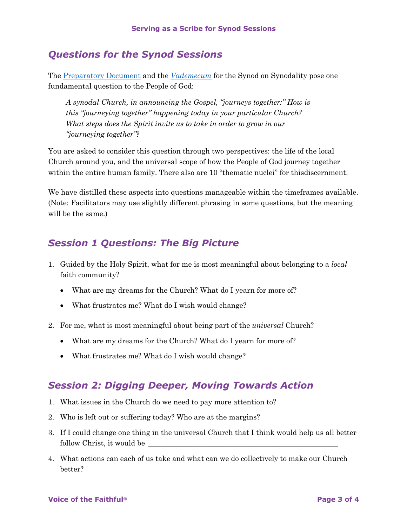#### *Questions for the Synod Sessions*

The Preparatory Document and the *Vademecum* for the Synod on Synodality pose one fundamental question to the People of God:

*A synodal Church, in announcing the Gospel, "journeys together:" How is this "journeying together" happening today in your particular Church? What steps does the Spirit invite us to take in order to grow in our "journeying together"?*

You are asked to consider this question through two perspectives: the life of the local Church around you, and the universal scope of how the People of God journey together within the entire human family. There also are 10 "thematic nuclei" for thisdiscernment.

We have distilled these aspects into questions manageable within the timeframes available. (Note: Facilitators may use slightly different phrasing in some questions, but the meaning will be the same.)

### *Session 1 Questions: The Big Picture*

- 1. Guided by the Holy Spirit, what for me is most meaningful about belonging to a *local* faith community?
	- What are my dreams for the Church? What do I yearn for more of?
	- What frustrates me? What do I wish would change?
- 2. For me, what is most meaningful about being part of the *universal* Church?
	- What are my dreams for the Church? What do I yearn for more of?
	- What frustrates me? What do I wish would change?

#### *Session 2: Digging Deeper, Moving Towards Action*

- 1. What issues in the Church do we need to pay more attention to?
- 2. Who is left out or suffering today? Who are at the margins?
- 3. If I could change one thing in the universal Church that I think would help us all better follow Christ, it would be
- 4. What actions can each of us take and what can we do collectively to make our Church better?